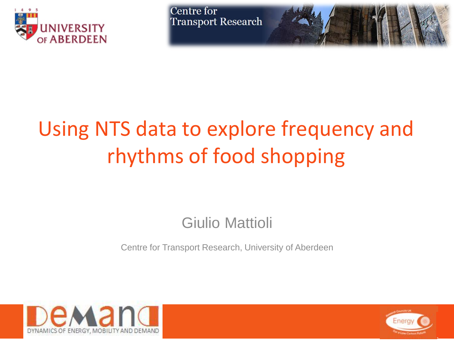



# Using NTS data to explore frequency and rhythms of food shopping

#### Giulio Mattioli

Centre for Transport Research, University of Aberdeen



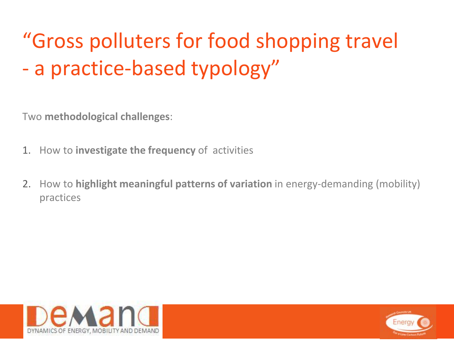# "Gross polluters for food shopping travel - a practice-based typology"

Two **methodological challenges**:

- 1. How to **investigate the frequency** of activities
- 2. How to **highlight meaningful patterns of variation** in energy-demanding (mobility) practices



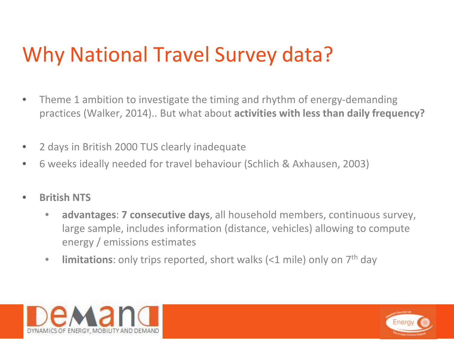#### Why National Travel Survey data?

- Theme 1 ambition to investigate the timing and rhythm of energy-demanding practices (Walker, 2014).. But what about **activities with less than daily frequency?**
- 2 days in British 2000 TUS clearly inadequate
- 6 weeks ideally needed for travel behaviour (Schlich & Axhausen, 2003)
- **British NTS**
	- **advantages**: **7 consecutive days**, all household members, continuous survey, large sample, includes information (distance, vehicles) allowing to compute energy / emissions estimates
	- **limitations**: only trips reported, short walks (<1 mile) only on 7<sup>th</sup> day



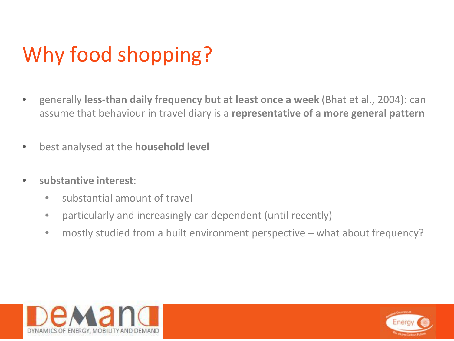# Why food shopping?

- generally **less-than daily frequency but at least once a week** (Bhat et al., 2004): can assume that behaviour in travel diary is a **representative of a more general pattern**
- best analysed at the **household level**
- **substantive interest**:
	- substantial amount of travel
	- particularly and increasingly car dependent (until recently)
	- mostly studied from a built environment perspective what about frequency?



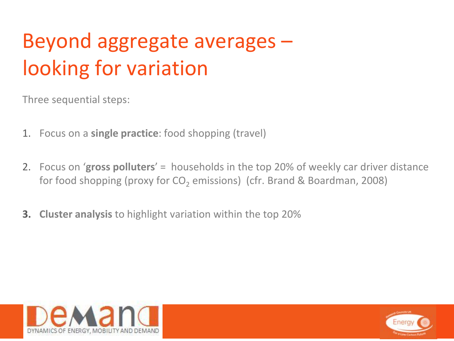# Beyond aggregate averages – looking for variation

Three sequential steps:

- 1. Focus on a **single practice**: food shopping (travel)
- 2. Focus on '**gross polluters**' = households in the top 20% of weekly car driver distance for food shopping (proxy for CO<sub>2</sub> emissions) (cfr. Brand & Boardman, 2008)
- **3. Cluster analysis** to highlight variation within the top 20%



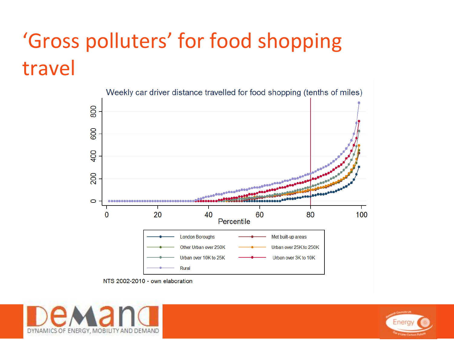# 'Gross polluters' for food shopping travel



NTS 2002-2010 - own elaboration



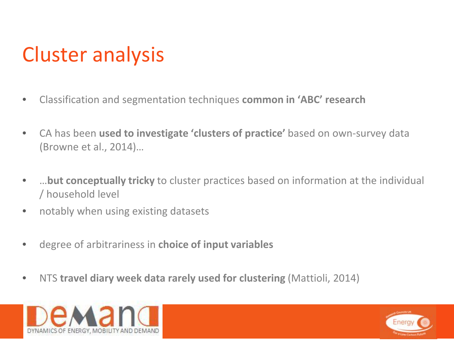## Cluster analysis

- Classification and segmentation techniques **common in 'ABC' research**
- CA has been **used to investigate 'clusters of practice'** based on own-survey data (Browne et al., 2014)…
- …**but conceptually tricky** to cluster practices based on information at the individual / household level
- notably when using existing datasets
- degree of arbitrariness in **choice of input variables**
- NTS **travel diary week data rarely used for clustering** (Mattioli, 2014)



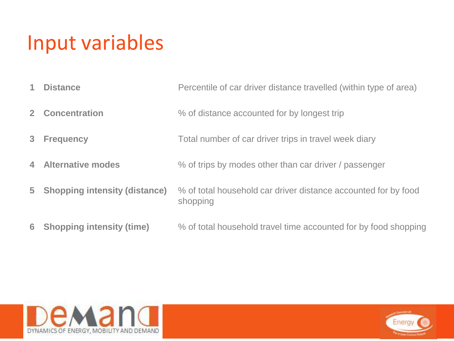#### Input variables

- **Distance Percentile of car driver distance travelled (within type of area)**
- **2 Concentration**  $\%$  of distance accounted for by longest trip
- **Frequency** Total number of car driver trips in travel week diary
- **Alternative modes** % of trips by modes other than car driver / passenger
- **Shopping intensity (distance)** % of total household car driver distance accounted for by food shopping
- **Shopping intensity (time)** % of total household travel time accounted for by food shopping



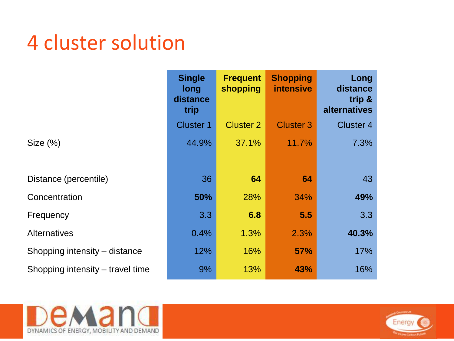#### 4 cluster solution

|                                  | <b>Single</b>                   | <b>Frequent</b>  | <b>Shopping</b>  | Long                                      |  |
|----------------------------------|---------------------------------|------------------|------------------|-------------------------------------------|--|
|                                  | <b>long</b><br>distance<br>trip | shopping         | <b>intensive</b> | distance<br>trip &<br><b>alternatives</b> |  |
|                                  | <b>Cluster 1</b>                | <b>Cluster 2</b> | <b>Cluster 3</b> | <b>Cluster 4</b>                          |  |
| Size (%)                         | 44.9%                           | 37.1%            | 11.7%            | 7.3%                                      |  |
|                                  |                                 |                  |                  |                                           |  |
| Distance (percentile)            | 36                              | 64               | 64               | 43                                        |  |
| Concentration                    | 50%                             | 28%              | 34%              | 49%                                       |  |
| Frequency                        | 3.3                             | 6.8              | 5.5              | 3.3                                       |  |
| <b>Alternatives</b>              | 0.4%                            | 1.3%             | 2.3%             | 40.3%                                     |  |
| Shopping intensity – distance    | 12%                             | 16%              | <b>57%</b>       | 17%                                       |  |
| Shopping intensity – travel time | 9%                              | 13%              | 43%              | 16%                                       |  |



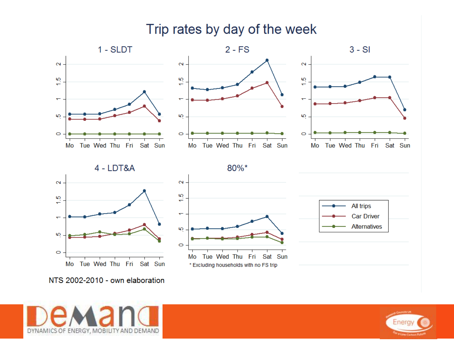#### Trip rates by day of the week



NTS 2002-2010 - own elaboration



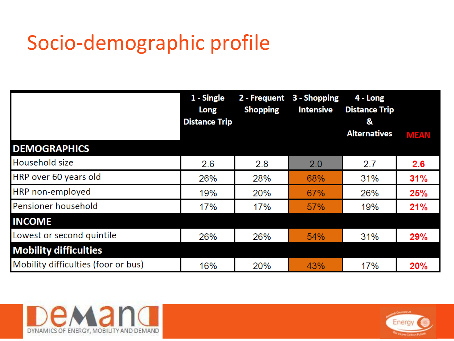#### Socio-demographic profile

|                                     | 1 - Single<br>Long<br><b>Distance Trip</b> | 2 - Frequent<br><b>Shopping</b> | 3 - Shopping<br><b>Intensive</b> | 4 - Long<br><b>Distance Trip</b><br>&<br><b>Alternatives</b> | <b>MEAN</b> |
|-------------------------------------|--------------------------------------------|---------------------------------|----------------------------------|--------------------------------------------------------------|-------------|
| <b>DEMOGRAPHICS</b>                 |                                            |                                 |                                  |                                                              |             |
| Household size                      | 2.6                                        | 2.8                             | 2.0                              | 2.7                                                          | 2.6         |
| HRP over 60 years old               | 26%                                        | 28%                             | 68%                              | 31%                                                          | 31%         |
| HRP non-employed                    | 19%                                        | 20%                             | 67%                              | 26%                                                          | 25%         |
| Pensioner household                 | 17%                                        | 17%                             | 57%                              | 19%                                                          | 21%         |
| <b>INCOME</b>                       |                                            |                                 |                                  |                                                              |             |
| Lowest or second quintile           | 26%                                        | 26%                             | 54%                              | 31%                                                          | 29%         |
| <b>Mobility difficulties</b>        |                                            |                                 |                                  |                                                              |             |
| Mobility difficulties (foor or bus) | 16%                                        | 20%                             | 43%                              | 17%                                                          | 20%         |



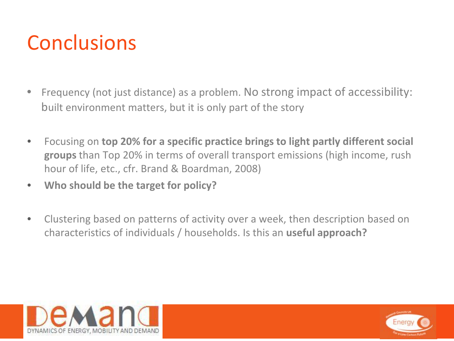## **Conclusions**

- Frequency (not just distance) as a problem. No strong impact of accessibility: built environment matters, but it is only part of the story
- Focusing on **top 20% for a specific practice brings to light partly different social groups** than Top 20% in terms of overall transport emissions (high income, rush hour of life, etc., cfr. Brand & Boardman, 2008)
- **Who should be the target for policy?**
- Clustering based on patterns of activity over a week, then description based on characteristics of individuals / households. Is this an **useful approach?**